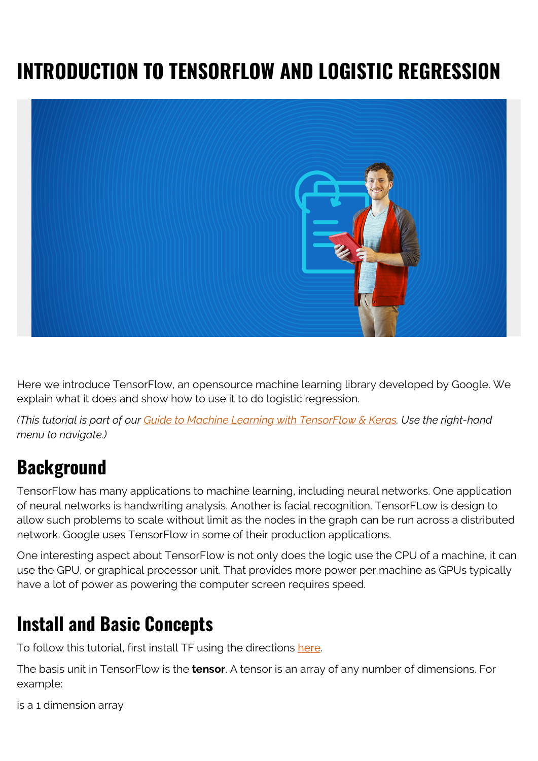# **INTRODUCTION TO TENSORFLOW AND LOGISTIC REGRESSION**



Here we introduce TensorFlow, an opensource machine learning library developed by Google. We explain what it does and show how to use it to do logistic regression.

*(This tutorial is part of our [Guide to Machine Learning with TensorFlow & Keras.](https://blogs.bmc.com/blogs/tensorflow-vs-keras/) Use the right-hand menu to navigate.)*

## **Background**

TensorFlow has many applications to machine learning, including neural networks. One application of neural networks is handwriting analysis. Another is facial recognition. TensorFLow is design to allow such problems to scale without limit as the nodes in the graph can be run across a distributed network. Google uses TensorFlow in some of their production applications.

One interesting aspect about TensorFlow is not only does the logic use the CPU of a machine, it can use the GPU, or graphical processor unit. That provides more power per machine as GPUs typically have a lot of power as powering the computer screen requires speed.

## **Install and Basic Concepts**

To follow this tutorial, first install TF using the directions [here.](https://www.tensorflow.org/install/)

The basis unit in TensorFlow is the **tensor**. A tensor is an array of any number of dimensions. For example:

is a 1 dimension array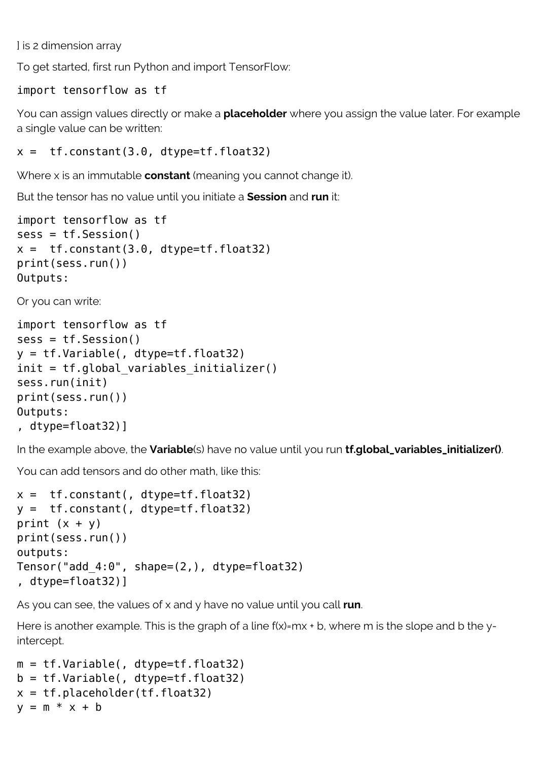] is 2 dimension array

To get started, first run Python and import TensorFlow:

#### import tensorflow as tf

You can assign values directly or make a **placeholder** where you assign the value later. For example a single value can be written:

```
x = tf constant(3.0, dtype=tf.float32)
```
Where x is an immutable **constant** (meaning you cannot change it).

But the tensor has no value until you initiate a **Session** and **run** it:

```
import tensorflow as tf
sess = tf.Session()
x = tf constant(3.0, dtype=tf.float32)print(sess.run())
Outputs:
```
Or you can write:

```
import tensorflow as tf
sess = tf.Session()
y = tf.Variable(, dtype=tf.float32)
init = tf.global variables initializer()sess.run(init)
print(sess.run())
Outputs:
, dtype=float32)]
```
In the example above, the **Variable**(s) have no value until you run **tf.global\_variables\_initializer()**.

You can add tensors and do other math, like this:

```
x = tf constant(, dtype=tf.float32)
y = tf.constant(, dtype=tf.float32)
print (x + y)print(sess.run())
outputs:
Tensor("add_4:0", shape=(2,), dtype=float32)
, dtype=float32)]
```
As you can see, the values of x and y have no value until you call **run**.

Here is another example. This is the graph of a line f(x)=mx + b, where m is the slope and b the yintercept.

```
m = tf.Variable(, dtype=tf.float32)
b = tf.Variable(, dtype=tf.float32)x = tf.placeholder(tf.float32)y = m * x + b
```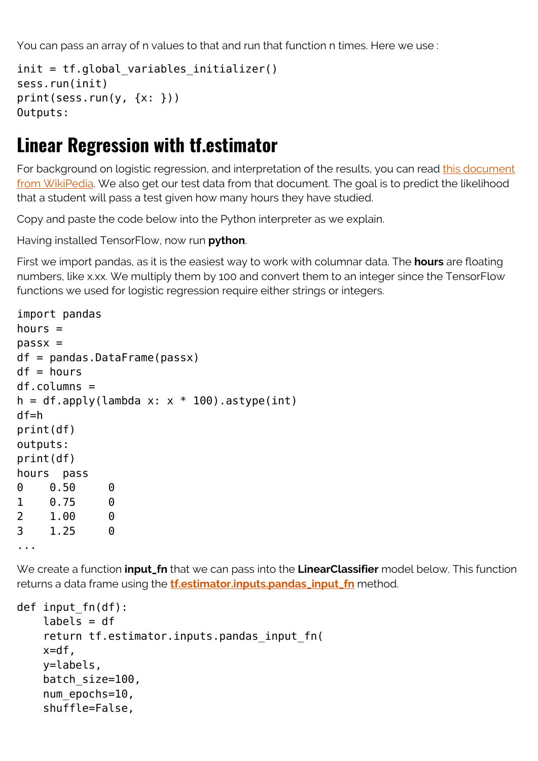You can pass an array of n values to that and run that function n times. Here we use :

```
init = tf.global_variables_initializer()
sess.run(init)
print(sess.run(y, {x: }))Outputs:
```
#### **Linear Regression with tf.estimator**

For background on logistic regression, and interpretation of the results, you can read [this document](https://www.wikiwand.com/en/Logistic_regression) [from WikiPedia](https://www.wikiwand.com/en/Logistic_regression). We also get our test data from that document. The goal is to predict the likelihood that a student will pass a test given how many hours they have studied.

Copy and paste the code below into the Python interpreter as we explain.

Having installed TensorFlow, now run **python**.

First we import pandas, as it is the easiest way to work with columnar data. The **hours** are floating numbers, like x.xx. We multiply them by 100 and convert them to an integer since the TensorFlow functions we used for logistic regression require either strings or integers.

```
import pandas
hours =passx =df = pandas. DataFrame(passx)
df = hoursdf.columns =
h = df.appendy(lambda x: x * 100).astype(int)
df=h
print(df)
outputs:
print(df)
hours pass
0 0.50 0
1 0.75 0
2 1.00 0
3 1.25 0
...
```
We create a function **input\_fn** that we can pass into the **LinearClassifier** model below. This function returns a data frame using the **[tf.estimator.inputs.pandas\\_input\\_fn](https://web.archive.org/web/20190328100945/https:/www.tensorflow.org/api_docs/python/tf/estimator/inputs/pandas_input_fn)** method.

```
def input fn(df):
     labels = df
     return tf.estimator.inputs.pandas_input_fn(
     x=df,
     y=labels,
    batch size=100,
    num epochs=10,
     shuffle=False,
```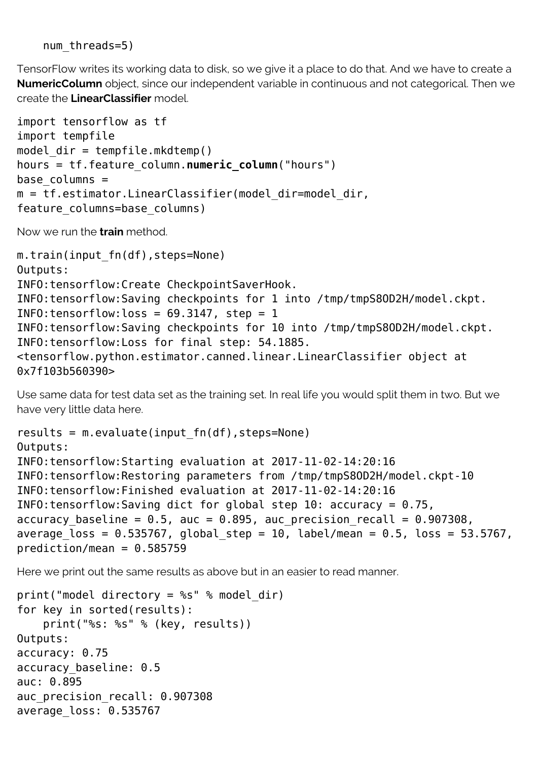num threads=5)

TensorFlow writes its working data to disk, so we give it a place to do that. And we have to create a **NumericColumn** object, since our independent variable in continuous and not categorical. Then we create the **LinearClassifier** model.

```
import tensorflow as tf
import tempfile
model dir = tempfile.mkdtemp()hours = tf.feature_column.numeric_column("hours")
base colums =m = tf.estimator.LinearClassifier(modeldir=model dir,feature columns=base columns)
```
Now we run the **train** method.

```
m.train(input fn(df), steps=None)
Outputs:
INFO:tensorflow:Create CheckpointSaverHook.
INFO:tensorflow:Saving checkpoints for 1 into /tmp/tmpS8OD2H/model.ckpt.
INFO: tensorflow: loss = 69.3147, step = 1
INFO:tensorflow:Saving checkpoints for 10 into /tmp/tmpS8OD2H/model.ckpt.
INFO:tensorflow:Loss for final step: 54.1885.
<tensorflow.python.estimator.canned.linear.LinearClassifier object at
0x7f103b560390>
```
Use same data for test data set as the training set. In real life you would split them in two. But we have very little data here.

```
results = m.evaluate(input fn(df), steps=None)
Outputs:
INFO:tensorflow:Starting evaluation at 2017-11-02-14:20:16
INFO:tensorflow:Restoring parameters from /tmp/tmpS8OD2H/model.ckpt-10
INFO:tensorflow:Finished evaluation at 2017-11-02-14:20:16
INFO: tensorflow: Saving dict for global step 10: accuracy = 0.75,
accuracy_baseline = 0.5, auc = 0.895, auc_precision recall = 0.907308,
average loss = 0.535767, global step = 10, label/mean = 0.5, loss = 53.5767,
prediction/mean = 0.585759
```
Here we print out the same results as above but in an easier to read manner.

```
print("model directory = %s" % model_dir)
for key in sorted(results):
     print("%s: %s" % (key, results))
Outputs:
accuracy: 0.75
accuracy_baseline: 0.5
auc: 0.895
auc precision recall: 0.907308
average_loss: 0.535767
```